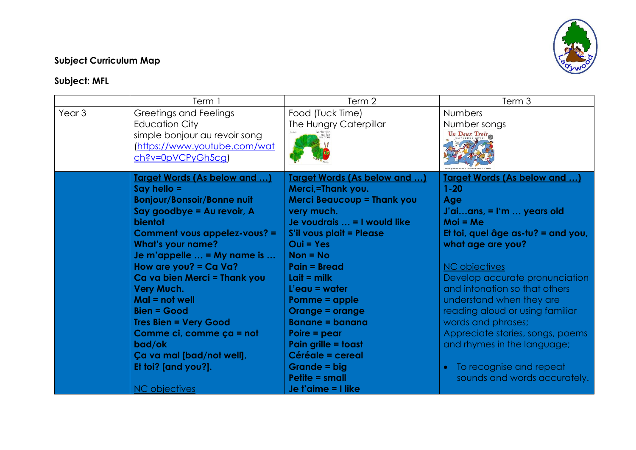

## **Subject Curriculum Map**

## **Subject: MFL**

|                   | Term 1                                                                                                                                                                                                                                                                                                                                                                                                                                                                                                     | Term 2                                                                                                                                                                                                                                                                                                                                                                                                                                              | Term 3                                                                                                                                                                                                                                                                                                                                                                                                                                                                      |
|-------------------|------------------------------------------------------------------------------------------------------------------------------------------------------------------------------------------------------------------------------------------------------------------------------------------------------------------------------------------------------------------------------------------------------------------------------------------------------------------------------------------------------------|-----------------------------------------------------------------------------------------------------------------------------------------------------------------------------------------------------------------------------------------------------------------------------------------------------------------------------------------------------------------------------------------------------------------------------------------------------|-----------------------------------------------------------------------------------------------------------------------------------------------------------------------------------------------------------------------------------------------------------------------------------------------------------------------------------------------------------------------------------------------------------------------------------------------------------------------------|
| Year <sub>3</sub> | Greetings and Feelings<br><b>Education City</b><br>simple bonjour au revoir song<br>(https://www.youtube.com/wat<br>ch?v=0pVCPyGh5cg)                                                                                                                                                                                                                                                                                                                                                                      | Food (Tuck Time)<br>The Hungry Caterpillar                                                                                                                                                                                                                                                                                                                                                                                                          | <b>Numbers</b><br>Number songs<br>Un Deux Trois                                                                                                                                                                                                                                                                                                                                                                                                                             |
|                   | Target Words (As below and )<br>Say hello $=$<br><b>Bonjour/Bonsoir/Bonne nuit</b><br>Say goodbye = Au revoir, A<br>bientot<br>Comment vous appelez-vous? =<br><b>What's your name?</b><br>Je m'appelle $\ldots$ = My name is $\ldots$<br>How are you? = Ca Va?<br>Ca va bien Merci = Thank you<br><b>Very Much.</b><br>$M$ al = not well<br><b>Bien = Good</b><br><b>Tres Bien = Very Good</b><br>Comme ci, comme ça = not<br>bad/ok<br>Ça va mal [bad/not well],<br>Et toi? [and you?].<br>NC objectives | Target Words (As below and )<br>Merci,=Thank you.<br><b>Merci Beaucoup = Thank you</b><br>very much.<br>Je voudrais  = I would like<br>S'il vous plait = Please<br>$OU = Yes$<br>$Non = No$<br>$Pain = Bread$<br>Lait = $milk$<br>$L'$ eau = water<br>Pomme = apple<br><b>Orange = orange</b><br><b>Banane = banana</b><br>Poire $=$ pear<br>Pain grille = toast<br>Céréale = cereal<br><b>Grande = big</b><br>Petite = small<br>Je t'aime = I like | Target Words (As below and )<br>$1 - 20$<br>Age<br>J'aians, $=$ I'm  years old<br>$Moi = Me$<br>Et toi, quel âge as-tu? = and you,<br>what age are you?<br>NC objectives<br>Develop accurate pronunciation<br>and intonation so that others<br>understand when they are<br>reading aloud or using familiar<br>words and phrases;<br>Appreciate stories, songs, poems<br>and rhymes in the language;<br>To recognise and repeat<br>$\bullet$<br>sounds and words accurately. |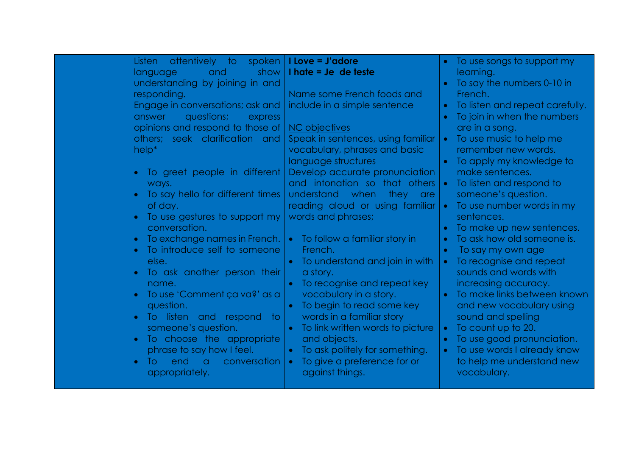| Listen attentively to<br>language<br>and<br>understanding by joining in and<br>responding.<br>questions;<br>answer<br>opinions and respond to those of<br>others; seek clarification and<br>help <sup>*</sup>                                                                                                                                                                                                                                                              | spoken   $I$ Love = $J'$ adore<br>show<br>$I$ hate = Je de teste<br>Name some French foods and<br>Engage in conversations; ask and   include in a simple sentence<br>express<br>NC objectives<br>Speak in sentences, using familiar<br>vocabulary, phrases and basic                                                                                                                                                                                                                                                                                                                                              | To use songs to support my<br>$\bullet$ .<br>learning.<br>To say the numbers 0-10 in<br>French.<br>To listen and repeat carefully.<br>$\bullet$<br>To join in when the numbers<br>are in a song.<br>To use music to help me<br>$\bullet$<br>remember new words.                                                                                                                                                                                                                                                                                                                                           |
|----------------------------------------------------------------------------------------------------------------------------------------------------------------------------------------------------------------------------------------------------------------------------------------------------------------------------------------------------------------------------------------------------------------------------------------------------------------------------|-------------------------------------------------------------------------------------------------------------------------------------------------------------------------------------------------------------------------------------------------------------------------------------------------------------------------------------------------------------------------------------------------------------------------------------------------------------------------------------------------------------------------------------------------------------------------------------------------------------------|-----------------------------------------------------------------------------------------------------------------------------------------------------------------------------------------------------------------------------------------------------------------------------------------------------------------------------------------------------------------------------------------------------------------------------------------------------------------------------------------------------------------------------------------------------------------------------------------------------------|
| To greet people in different<br>$\bullet$<br>ways.<br>To say hello for different times<br>of day.<br>To use gestures to support my<br>$\bullet$<br>conversation.<br>$\bullet$<br>To introduce self to someone<br>else.<br>To ask another person their<br>name.<br>To use 'Comment ça va?' as a<br>question.<br>To listen and respond to<br>someone's question.<br>To choose the appropriate<br>phrase to say how I feel.<br>conversation<br>To:<br>end a<br>appropriately. | language structures<br>Develop accurate pronunciation<br>and intonation so that others<br>understand when<br>they are<br>reading aloud or using familiar<br>words and phrases;<br>To exchange names in French. $\bullet$ To follow a familiar story in<br>French.<br>To understand and join in with<br>a story.<br>To recognise and repeat key<br>$\bullet$<br>vocabulary in a story.<br>To begin to read some key<br>words in a familiar story<br>To link written words to picture<br>$\bullet$<br>and objects.<br>To ask politely for something.<br>To give a preference for or<br>$\bullet$<br>against things. | To apply my knowledge to<br>make sentences.<br>To listen and respond to<br>$\bullet$ .<br>someone's question.<br>To use number words in my<br>$\bullet$ .<br>sentences.<br>To make up new sentences.<br>To ask how old someone is.<br>To say my own age<br>$\bullet$<br>To recognise and repeat<br>$\bullet$<br>sounds and words with<br>increasing accuracy.<br>To make links between known<br>$\bullet$<br>and new vocabulary using<br>sound and spelling<br>To count up to 20.<br>$\bullet$ .<br>To use good pronunciation.<br>To use words I already know<br>to help me understand new<br>vocabulary. |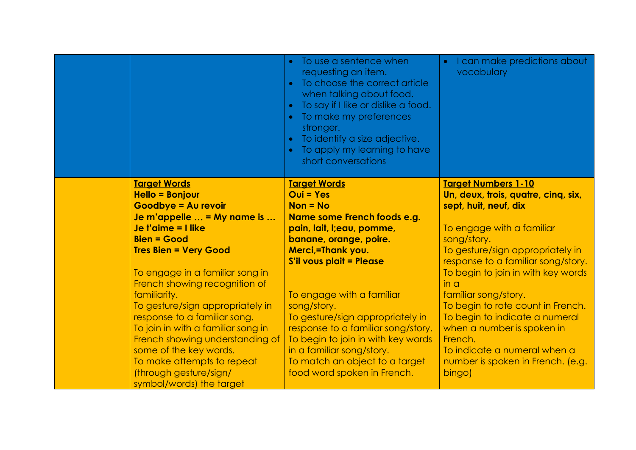|                                                                                                                                                                                                                                                                            | To use a sentence when<br>$\bullet$<br>requesting an item.<br>To choose the correct article<br>$\bullet$<br>when talking about food.<br>To say if I like or dislike a food.<br>$\bullet$<br>To make my preferences<br>stronger.<br>To identify a size adjective.<br>To apply my learning to have<br>$\bullet$<br>short conversations | I can make predictions about<br>vocabulary                                                                                                                                                                                                                     |
|----------------------------------------------------------------------------------------------------------------------------------------------------------------------------------------------------------------------------------------------------------------------------|--------------------------------------------------------------------------------------------------------------------------------------------------------------------------------------------------------------------------------------------------------------------------------------------------------------------------------------|----------------------------------------------------------------------------------------------------------------------------------------------------------------------------------------------------------------------------------------------------------------|
| <b>Target Words</b><br><b>Hello = Bonjour</b><br><b>Goodbye = Au revoir</b><br>Je m'appelle $\ldots$ = My name is $\ldots$<br>Je t'aime = I like<br><b>Bien = Good</b><br><b>Tres Bien = Very Good</b><br>To engage in a familiar song in<br>French showing recognition of | <b>Target Words</b><br>$OUI = Yes$<br>$Non = No$<br>Name some French foods e.g.<br>pain, lait, I;eau, pomme,<br>banane, orange, poire.<br>Merci,=Thank you.<br>S'il vous plait = Please                                                                                                                                              | <b>Target Numbers 1-10</b><br>Un, deux, trois, quatre, cinq, six,<br>sept, huit, neuf, dix<br>To engage with a familiar<br>song/story.<br>To gesture/sign appropriately in<br>response to a familiar song/story.<br>To begin to join in with key words<br>in a |
| familiarity.<br>To gesture/sign appropriately in<br>response to a familiar song.<br>To join in with a familiar song in<br>French showing understanding of<br>some of the key words.<br>To make attempts to repeat<br>(through gesture/sign/<br>symbol/words) the target    | To engage with a familiar<br>song/story.<br>To gesture/sign appropriately in<br>response to a familiar song/story.<br>To begin to join in with key words<br>in a familiar song/story.<br>To match an object to a target<br>food word spoken in French.                                                                               | familiar song/story.<br>To begin to rote count in French.<br>To begin to indicate a numeral<br>when a number is spoken in<br>French.<br>To indicate a numeral when a<br>number is spoken in French. (e.g.<br>bingo)                                            |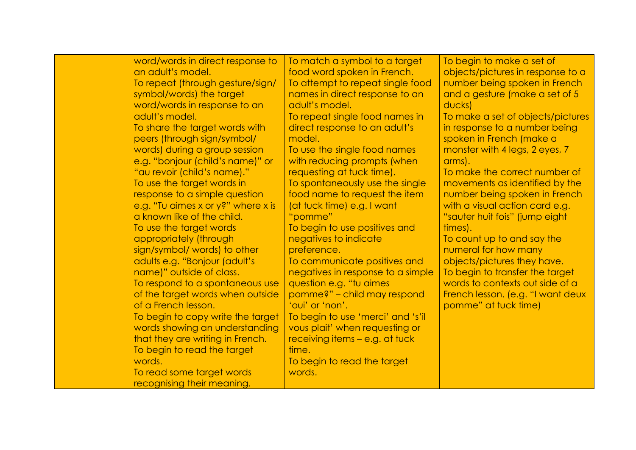| word/words in direct response to   | To match a symbol to a target     | To begin to make a set of         |
|------------------------------------|-----------------------------------|-----------------------------------|
| an adult's model.                  | food word spoken in French.       | objects/pictures in response to a |
| To repeat (through gesture/sign/   | To attempt to repeat single food  | number being spoken in French     |
| symbol/words) the target           | names in direct response to an    | and a gesture (make a set of 5    |
| word/words in response to an       | adult's model.                    | ducks)                            |
| adult's model.                     | To repeat single food names in    | To make a set of objects/pictures |
| To share the target words with     | direct response to an adult's     | in response to a number being     |
| peers (through sign/symbol/        | model.                            | spoken in French (make a          |
| words) during a group session      | To use the single food names      | monster with 4 legs, 2 eyes, 7    |
| e.g. "bonjour (child's name)" or   | with reducing prompts (when       | arms).                            |
| "au revoir (child's name)."        | requesting at tuck time).         | To make the correct number of     |
| To use the target words in         | To spontaneously use the single   | movements as identified by the    |
| response to a simple question      | food name to request the item     | number being spoken in French     |
| e.g. "Tu aimes x or y?" where x is | (at tuck time) e.g. I want        | with a visual action card e.g.    |
| a known like of the child.         | "pomme"                           | "sauter huit fois" (jump eight    |
| To use the target words            | To begin to use positives and     | times).                           |
| appropriately (through             | negatives to indicate             | To count up to and say the        |
| sign/symbol/ words) to other       | preference.                       | numeral for how many              |
| adults e.g. "Bonjour (adult's      | To communicate positives and      | objects/pictures they have.       |
| name)" outside of class.           | negatives in response to a simple | To begin to transfer the target   |
| To respond to a spontaneous use    | question e.g. "tu aimes           | words to contexts out side of a   |
| of the target words when outside   | pomme?" - child may respond       | French lesson. (e.g. "I want deux |
| of a French lesson.                | 'oui' or 'non'.                   | pomme" at tuck time)              |
| To begin to copy write the target  | To begin to use 'merci' and 's'il |                                   |
| words showing an understanding     | vous plait' when requesting or    |                                   |
| that they are writing in French.   | receiving items - e.g. at tuck    |                                   |
| To begin to read the target        | time.                             |                                   |
| words.                             | To begin to read the target       |                                   |
| To read some target words          | words.                            |                                   |
| recognising their meaning.         |                                   |                                   |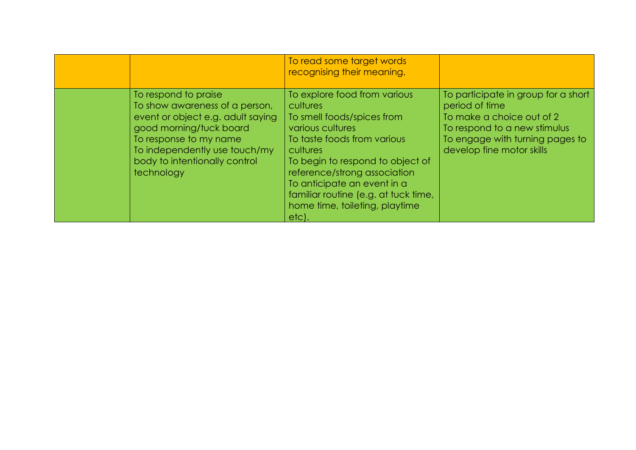|                                                                                                                                                                                                                                  | To read some target words<br>recognising their meaning.                                                                                                                                                                                                                                                                     |                                                                                                                                                                                    |
|----------------------------------------------------------------------------------------------------------------------------------------------------------------------------------------------------------------------------------|-----------------------------------------------------------------------------------------------------------------------------------------------------------------------------------------------------------------------------------------------------------------------------------------------------------------------------|------------------------------------------------------------------------------------------------------------------------------------------------------------------------------------|
| To respond to praise<br>To show awareness of a person,<br>event or object e.g. adult saying<br>good morning/tuck board<br>To response to my name<br>To independently use touch/my<br>body to intentionally control<br>technology | To explore food from various<br>cultures<br>To smell foods/spices from<br>various cultures<br>To taste foods from various<br>cultures<br>To begin to respond to object of<br>reference/strong association<br>To anticipate an event in a<br>familiar routine (e.g. at tuck time,<br>home time, toileting, playtime<br>etc). | To participate in group for a short<br>period of time<br>To make a choice out of 2<br>To respond to a new stimulus<br>To engage with turning pages to<br>develop fine motor skills |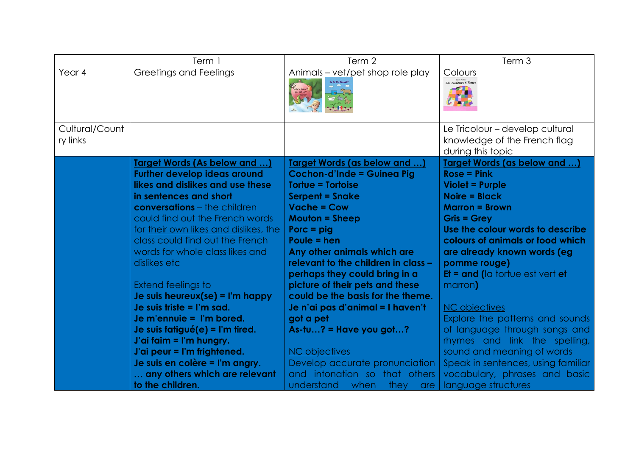|                            | Term 1                                                                                                                                                                                                                                                                                                                                                                                                                                                                                                                                                                                                                                                    | Term 2                                                                                                                                                                                                                                                                                                                                                                                                                                                                                                                                                                                   | Term 3                                                                                                                                                                                                                                                                                                                                                                                                                                                                                                                                                                     |
|----------------------------|-----------------------------------------------------------------------------------------------------------------------------------------------------------------------------------------------------------------------------------------------------------------------------------------------------------------------------------------------------------------------------------------------------------------------------------------------------------------------------------------------------------------------------------------------------------------------------------------------------------------------------------------------------------|------------------------------------------------------------------------------------------------------------------------------------------------------------------------------------------------------------------------------------------------------------------------------------------------------------------------------------------------------------------------------------------------------------------------------------------------------------------------------------------------------------------------------------------------------------------------------------------|----------------------------------------------------------------------------------------------------------------------------------------------------------------------------------------------------------------------------------------------------------------------------------------------------------------------------------------------------------------------------------------------------------------------------------------------------------------------------------------------------------------------------------------------------------------------------|
| Year 4                     | Greetings and Feelings                                                                                                                                                                                                                                                                                                                                                                                                                                                                                                                                                                                                                                    | Animals - vet/pet shop role play                                                                                                                                                                                                                                                                                                                                                                                                                                                                                                                                                         | Colours<br><b>Desi McKee</b><br>Les couleurs d'Elm                                                                                                                                                                                                                                                                                                                                                                                                                                                                                                                         |
| Cultural/Count<br>ry links |                                                                                                                                                                                                                                                                                                                                                                                                                                                                                                                                                                                                                                                           |                                                                                                                                                                                                                                                                                                                                                                                                                                                                                                                                                                                          | Le Tricolour - develop cultural<br>knowledge of the French flag<br>during this topic                                                                                                                                                                                                                                                                                                                                                                                                                                                                                       |
|                            | Target Words (As below and )<br><b>Further develop ideas around</b><br>likes and dislikes and use these<br>in sentences and short<br><b>conversations</b> – the children<br>could find out the French words<br>for their own likes and dislikes, the<br>class could find out the French<br>words for whole class likes and<br>dislikes etc<br><b>Extend feelings to</b><br>Je suis heureux(se) = I'm happy<br>Je suis triste $=$ I'm sad.<br>Je m'ennuie = I'm bored.<br>Je suis fatigué(e) = I'm tired.<br>J'ai faim = I'm hungry.<br>J'ai peur = I'm frightened.<br>Je suis en colère = I'm angry.<br>any others which are relevant<br>to the children. | Target Words (as below and )<br><b>Cochon-d'Inde = Guinea Pig</b><br><b>Tortue = Tortoise</b><br><b>Serpent = Snake</b><br><b>Vache = Cow</b><br><b>Mouton = Sheep</b><br>Porc $=$ pig<br>Poule = $hen$<br>Any other animals which are<br>relevant to the children in class -<br>perhaps they could bring in a<br>picture of their pets and these<br>could be the basis for the theme.<br>Je n'ai pas d'animal = I haven't<br>got a pet<br>As-tu? = Have you got?<br><b>NC</b> objectives<br>Develop accurate pronunciation<br>and intonation so that others<br>understand when they are | Target Words (as below and )<br>$Rose = Pink$<br><b>Violet = Purple</b><br>Noire = $Black$<br><b>Marron = Brown</b><br>$Gris = Grey$<br>Use the colour words to describe<br>colours of animals or food which<br>are already known words (eg<br>pomme rouge)<br><b>Et = and (Ia fortue est vert et)</b><br>marron)<br><b>NC</b> objectives<br>Explore the patterns and sounds<br>of language through songs and<br>rhymes and link the spelling,<br>sound and meaning of words<br>Speak in sentences, using familiar<br>vocabulary, phrases and basic<br>language structures |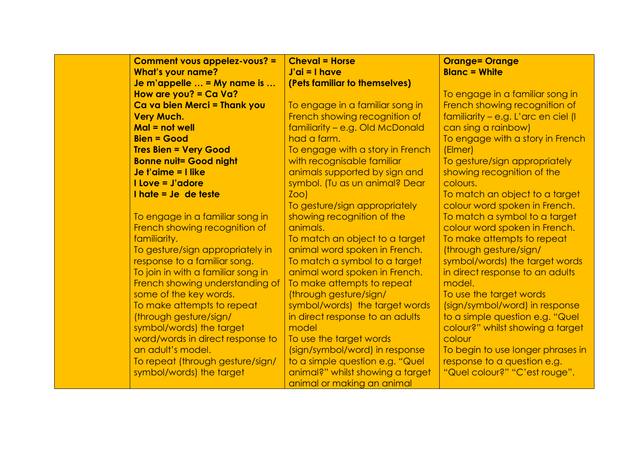| Comment vous appelez-vous? =       | <b>Cheval = Horse</b>            | <b>Orange= Orange</b>               |
|------------------------------------|----------------------------------|-------------------------------------|
| <b>What's your name?</b>           | $J'$ ai = I have                 | <b>Blanc = White</b>                |
| Je m'appelle  = My name is         | (Pets familiar to themselves)    |                                     |
| How are you? = Ca Va?              |                                  | To engage in a familiar song in     |
| Ca va bien Merci = Thank you       | To engage in a familiar song in  | French showing recognition of       |
| <b>Very Much.</b>                  | French showing recognition of    | familiarity - e.g. L'arc en ciel (I |
| Mal = not well                     | familiarity - e.g. Old McDonald  | can sing a rainbow)                 |
| <b>Bien = Good</b>                 | had a farm.                      | To engage with a story in French    |
| <b>Tres Bien = Very Good</b>       | To engage with a story in French | (Elmer)                             |
| <b>Bonne nuit= Good night</b>      | with recognisable familiar       | To gesture/sign appropriately       |
| Je t'aime = I like                 | animals supported by sign and    | showing recognition of the          |
| <b>I Love = J'adore</b>            | symbol. (Tu as un animal? Dear   | colours.                            |
| $I$ hate = Je de teste             | ZOO                              | To match an object to a target      |
|                                    | To gesture/sign appropriately    | colour word spoken in French.       |
| To engage in a familiar song in    | showing recognition of the       | To match a symbol to a target       |
| French showing recognition of      | animals.                         | colour word spoken in French.       |
| familiarity.                       | To match an object to a target   | To make attempts to repeat          |
| To gesture/sign appropriately in   | animal word spoken in French.    | (through gesture/sign/              |
| response to a familiar song.       | To match a symbol to a target    | symbol/words) the target words      |
| To join in with a familiar song in | animal word spoken in French.    | in direct response to an adults     |
| French showing understanding of    | To make attempts to repeat       | model.                              |
| some of the key words.             | (through gesture/sign/           | To use the target words             |
| To make attempts to repeat         | symbol/words) the target words   | (sign/symbol/word) in response      |
| (through gesture/sign/             | in direct response to an adults  | to a simple question e.g. "Quel     |
| symbol/words) the target           | model                            | colour?" whilst showing a target    |
| word/words in direct response to   | To use the target words          | colour                              |
| an adult's model.                  | (sign/symbol/word) in response   | To begin to use longer phrases in   |
| To repeat (through gesture/sign/   | to a simple question e.g. "Quel  | response to a question e.g.         |
| symbol/words) the target           | animal?" whilst showing a target | "Quel colour?" "C'est rouge".       |
|                                    | animal or making an animal       |                                     |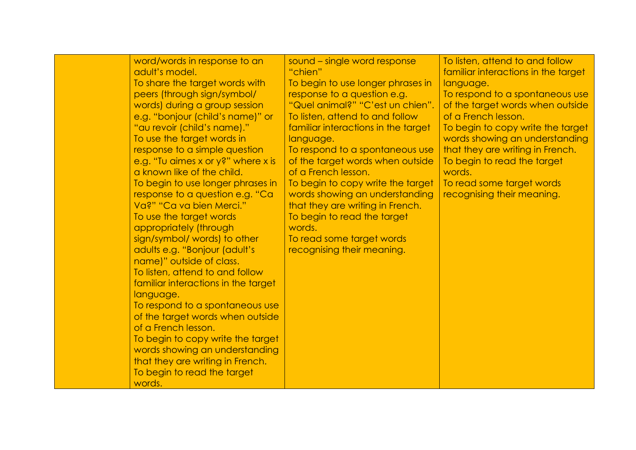| word/words in response to an<br>adult's model.<br>To share the target words with<br>peers (through sign/symbol/<br>words) during a group session<br>e.g. "bonjour (child's name)" or<br>"au revoir (child's name)."<br>To use the target words in<br>response to a simple question<br>e.g. "Tu aimes x or y?" where x is<br>a known like of the child.<br>To begin to use longer phrases in<br>response to a question e.g. "Ca<br>Va?" "Ca va bien Merci."<br>To use the target words<br>appropriately (through<br>sign/symbol/ words) to other<br>adults e.g. "Bonjour (adult's<br>name)" outside of class.<br>To listen, attend to and follow<br>familiar interactions in the target<br>language.<br>To respond to a spontaneous use | sound – single word response<br>"chien"<br>To begin to use longer phrases in<br>response to a question e.g.<br>"Quel animal?" "C'est un chien".<br>To listen, attend to and follow<br>familiar interactions in the target<br>language.<br>To respond to a spontaneous use<br>of the target words when outside<br>of a French lesson.<br>To begin to copy write the target<br>words showing an understanding<br>that they are writing in French.<br>To begin to read the target<br>words.<br>To read some target words<br>recognising their meaning. | To listen, attend to and follow<br>familiar interactions in the target<br>language.<br>To respond to a spontaneous use<br>of the target words when outside<br>of a French lesson.<br>To begin to copy write the target<br>words showing an understanding<br>that they are writing in French.<br>To begin to read the target<br>words.<br>To read some target words<br>recognising their meaning. |
|----------------------------------------------------------------------------------------------------------------------------------------------------------------------------------------------------------------------------------------------------------------------------------------------------------------------------------------------------------------------------------------------------------------------------------------------------------------------------------------------------------------------------------------------------------------------------------------------------------------------------------------------------------------------------------------------------------------------------------------|-----------------------------------------------------------------------------------------------------------------------------------------------------------------------------------------------------------------------------------------------------------------------------------------------------------------------------------------------------------------------------------------------------------------------------------------------------------------------------------------------------------------------------------------------------|--------------------------------------------------------------------------------------------------------------------------------------------------------------------------------------------------------------------------------------------------------------------------------------------------------------------------------------------------------------------------------------------------|
| of the target words when outside<br>of a French lesson.<br>To begin to copy write the target<br>words showing an understanding<br>that they are writing in French.<br>To begin to read the target<br>words.                                                                                                                                                                                                                                                                                                                                                                                                                                                                                                                            |                                                                                                                                                                                                                                                                                                                                                                                                                                                                                                                                                     |                                                                                                                                                                                                                                                                                                                                                                                                  |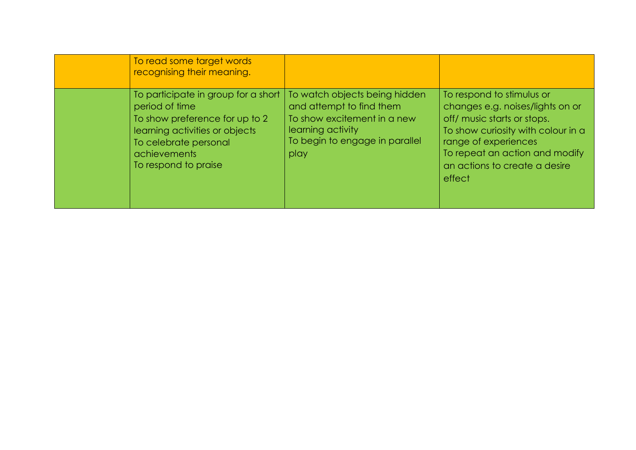| To read some target words<br>recognising their meaning.                                                                                                                                    |                                                                                                                                                         |                                                                                                                                                                                                                                         |
|--------------------------------------------------------------------------------------------------------------------------------------------------------------------------------------------|---------------------------------------------------------------------------------------------------------------------------------------------------------|-----------------------------------------------------------------------------------------------------------------------------------------------------------------------------------------------------------------------------------------|
| To participate in group for a short<br>period of time<br>To show preference for up to 2<br>learning activities or objects<br>To celebrate personal<br>achievements<br>To respond to praise | To watch objects being hidden<br>and attempt to find them<br>To show excitement in a new<br>learning activity<br>To begin to engage in parallel<br>play | To respond to stimulus or<br>changes e.g. noises/lights on or<br>off/ music starts or stops.<br>To show curiosity with colour in a<br>range of experiences<br>To repeat an action and modify<br>an actions to create a desire<br>effect |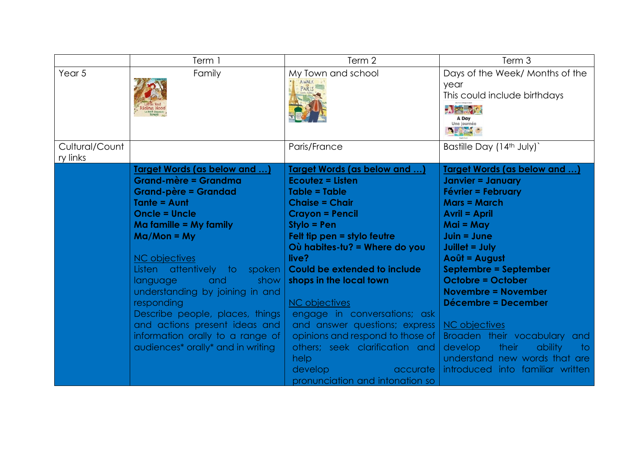|                            | Term 1                                                                                                                                                                                                                                                                                                                                                                                                                                                       | Term 2                                                                                                                                                                                                                                                                                                                                                                                                                                                                                                            | Term 3                                                                                                                                                                                                                                                                                                                                                                                                                                                            |
|----------------------------|--------------------------------------------------------------------------------------------------------------------------------------------------------------------------------------------------------------------------------------------------------------------------------------------------------------------------------------------------------------------------------------------------------------------------------------------------------------|-------------------------------------------------------------------------------------------------------------------------------------------------------------------------------------------------------------------------------------------------------------------------------------------------------------------------------------------------------------------------------------------------------------------------------------------------------------------------------------------------------------------|-------------------------------------------------------------------------------------------------------------------------------------------------------------------------------------------------------------------------------------------------------------------------------------------------------------------------------------------------------------------------------------------------------------------------------------------------------------------|
| Year 5                     | Family                                                                                                                                                                                                                                                                                                                                                                                                                                                       | My Town and school<br>PARIS                                                                                                                                                                                                                                                                                                                                                                                                                                                                                       | Days of the Week/ Months of the<br>year<br>This could include birthdays<br>$\lambda$ $\geq$ $\lambda$<br>Une journée                                                                                                                                                                                                                                                                                                                                              |
| Cultural/Count<br>ry links |                                                                                                                                                                                                                                                                                                                                                                                                                                                              | Paris/France                                                                                                                                                                                                                                                                                                                                                                                                                                                                                                      | Bastille Day (14th July)                                                                                                                                                                                                                                                                                                                                                                                                                                          |
|                            | Target Words (as below and )<br>Grand-mère = Grandma<br><b>Grand-père = Grandad</b><br>Tante = Aunt<br><b>Oncle = Uncle</b><br>Ma famille $=$ My family<br>$Ma/Mon = My$<br><b>NC</b> objectives<br>Listen attentively to<br>spoken<br>show<br>and<br>language<br>understanding by joining in and<br>responding<br>Describe people, places, things<br>and actions present ideas and<br>information orally to a range of<br>audiences* orally* and in writing | Target Words (as below and )<br><b>Ecoutez = Listen</b><br><b>Table = Table</b><br><b>Chaise = Chair</b><br><b>Crayon = Pencil</b><br>$Stylo = Pen$<br>Felt tip pen = stylo feutre<br>Où habites-tu? = Where do you<br>live?<br>Could be extended to include<br>shops in the local town<br>NC objectives<br>engage in conversations; ask<br>and answer questions; express<br>opinions and respond to those of<br>others; seek clarification and<br>help<br>develop<br>accurate<br>pronunciation and intonation so | Target Words (as below and )<br><b>Janvier = January</b><br><b>Février = February</b><br>$Mars = March$<br><b>Avril = April</b><br>$Mai = May$<br>$Juin = June$<br>Juillet = July<br>Août = August<br>Septembre = September<br><b>Octobre = October</b><br>Novembre = November<br>Décembre = December<br>NC objectives<br>Broaden their vocabulary and<br>their<br>develop<br>ability<br>to.<br>understand new words that are<br>introduced into familiar written |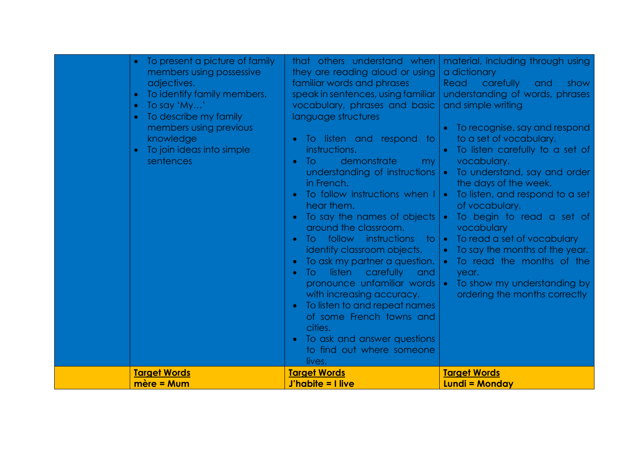| <b>Target Words</b><br>$m\grave{e}$ re = Mum     | sentences                                                                                                                                                                                                            | demonstrate<br>To<br>my<br>understanding of instructions<br>in French.<br>To follow instructions when I<br>$\bullet$<br>hear them.<br>To say the names of objects<br>$\bullet$<br>around the classroom.<br>follow instructions<br>to to<br>To:<br>identify classroom objects.<br>To ask my partner a question.<br>To listen carefully<br>and<br>pronounce unfamiliar words<br>with increasing accuracy.<br>To listen to and repeat names<br>of some French towns and<br>cities.<br>To ask and answer questions<br>$\bullet$<br>to find out where someone<br>lives.<br><b>Target Words</b><br>J'habite = I live | vocabulary.<br>To understand, say and order<br>$\bullet$<br>the days of the week.<br>To listen, and respond to a set<br>$\bullet$<br>of vocabulary.<br>To begin to read a set of<br>$\bullet$<br>vocabulary<br>To read a set of vocabulary<br>$\bullet$<br>To say the months of the year.<br>To read the months of the<br>$\bullet$<br>year.<br>To show my understanding by<br>$\bullet$<br>ordering the months correctly<br><b>Target Words</b><br><b>Lundi = Monday</b> |
|--------------------------------------------------|----------------------------------------------------------------------------------------------------------------------------------------------------------------------------------------------------------------------|----------------------------------------------------------------------------------------------------------------------------------------------------------------------------------------------------------------------------------------------------------------------------------------------------------------------------------------------------------------------------------------------------------------------------------------------------------------------------------------------------------------------------------------------------------------------------------------------------------------|---------------------------------------------------------------------------------------------------------------------------------------------------------------------------------------------------------------------------------------------------------------------------------------------------------------------------------------------------------------------------------------------------------------------------------------------------------------------------|
| $\bullet$<br>$\bullet$<br>$\bullet$<br>$\bullet$ | To present a picture of family<br>members using possessive<br>adjectives.<br>To identify family members.<br>To say 'My'<br>To describe my family<br>members using previous<br>knowledge<br>To join ideas into simple | that others understand when<br>they are reading aloud or using<br>familiar words and phrases<br>speak in sentences, using familiar<br>vocabulary, phrases and basic<br>language structures<br>To listen and respond to<br>instructions.                                                                                                                                                                                                                                                                                                                                                                        | material, including through using<br>a dictionary<br>carefully<br>Read<br>and<br>show<br>understanding of words, phrases<br>and simple writing<br>To recognise, say and respond<br>to a set of vocabulary.<br>To listen carefully to a set of                                                                                                                                                                                                                             |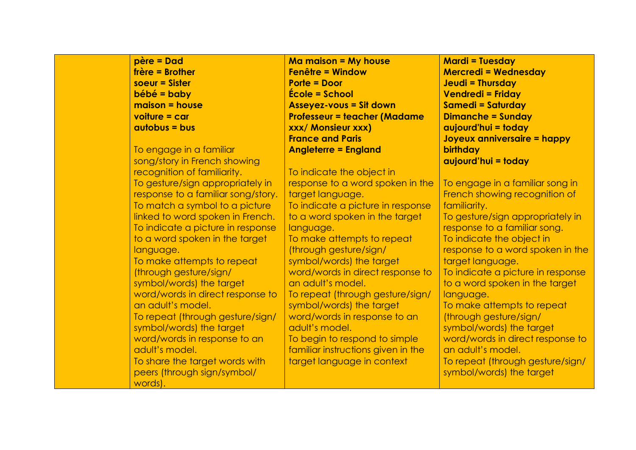| père = Dad                         | $Ma$ maison = My house              | <b>Mardi = Tuesday</b>            |
|------------------------------------|-------------------------------------|-----------------------------------|
| $frère = Brother$                  | <b>Fenêtre = Window</b>             | <b>Mercredi = Wednesday</b>       |
| soeur = Sister                     | Porte = Door                        | Jeudi = Thursday                  |
| bébé = baby                        | $École = School$                    | <b>Vendredi = Friday</b>          |
| $main = house$                     | <b>Asseyez-vous = Sit down</b>      | Samedi = Saturday                 |
| voiture $=$ car                    | <b>Professeur = teacher (Madame</b> | <b>Dimanche = Sunday</b>          |
| autobus = bus                      | xxx/ Monsieur xxx)                  | aujourd'hui = today               |
|                                    | <b>France and Paris</b>             | Joyeux anniversaire = happy       |
| To engage in a familiar            | <b>Angleterre = England</b>         | birthday                          |
| song/story in French showing       |                                     | aujourd'hui = today               |
| recognition of familiarity.        | To indicate the object in           |                                   |
| To gesture/sign appropriately in   | response to a word spoken in the    | To engage in a familiar song in   |
| response to a familiar song/story. | target language.                    | French showing recognition of     |
| To match a symbol to a picture     | To indicate a picture in response   | familiarity.                      |
| linked to word spoken in French.   | to a word spoken in the target      | To gesture/sign appropriately in  |
| To indicate a picture in response  | language.                           | response to a familiar song.      |
| to a word spoken in the target     | To make attempts to repeat          | To indicate the object in         |
| language.                          | (through gesture/sign/              | response to a word spoken in the  |
| To make attempts to repeat         | symbol/words) the target            | target language.                  |
| (through gesture/sign/             | word/words in direct response to    | To indicate a picture in response |
| symbol/words) the target           | an adult's model.                   | to a word spoken in the target    |
| word/words in direct response to   | To repeat (through gesture/sign/    | language.                         |
| an adult's model.                  | symbol/words) the target            | To make attempts to repeat        |
| To repeat (through gesture/sign/   | word/words in response to an        | (through gesture/sign/            |
| symbol/words) the target           | adult's model.                      | symbol/words) the target          |
| word/words in response to an       | To begin to respond to simple       | word/words in direct response to  |
| adult's model.                     | familiar instructions given in the  | an adult's model.                 |
| To share the target words with     | target language in context          | To repeat (through gesture/sign/  |
| peers (through sign/symbol/        |                                     | symbol/words) the target          |
| words).                            |                                     |                                   |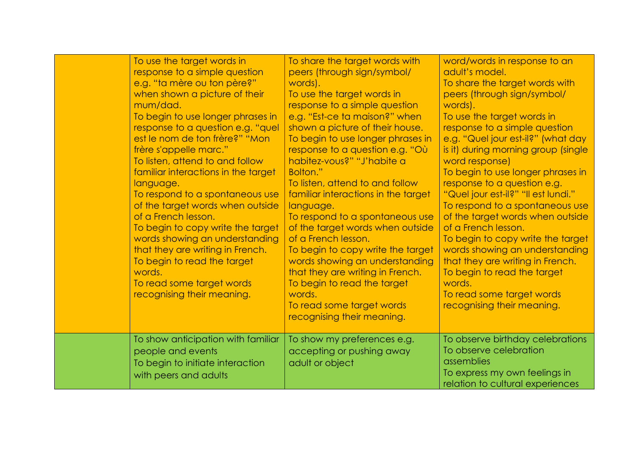| To use the target words in<br>response to a simple question<br>e.g. "ta mère ou ton père?"<br>when shown a picture of their<br>mum/dad.<br>To begin to use longer phrases in<br>response to a question e.g. "quel<br>est le nom de ton frère?" "Mon<br>frère s'appelle marc."<br>To listen, attend to and follow<br>familiar interactions in the target<br>language.<br>To respond to a spontaneous use<br>of the target words when outside<br>of a French lesson.<br>To begin to copy write the target<br>words showing an understanding<br>that they are writing in French.<br>To begin to read the target<br>words.<br>To read some target words<br>recognising their meaning. | To share the target words with<br>peers (through sign/symbol/<br>words).<br>To use the target words in<br>response to a simple question<br>e.g. "Est-ce ta maison?" when<br>shown a picture of their house.<br>To begin to use longer phrases in<br>response to a question e.g. "Où<br>habitez-vous?" "J'habite a<br>Bolton."<br>To listen, attend to and follow<br>familiar interactions in the target<br>language.<br>To respond to a spontaneous use<br>of the target words when outside<br>of a French lesson.<br>To begin to copy write the target<br>words showing an understanding<br>that they are writing in French.<br>To begin to read the target<br>words.<br>To read some target words<br>recognising their meaning. | word/words in response to an<br>adult's model.<br>To share the target words with<br>peers (through sign/symbol/<br>words).<br>To use the target words in<br>response to a simple question<br>e.g. "Quel jour est-il?" (what day<br>is it) during morning group (single<br>word response)<br>To begin to use longer phrases in<br>response to a question e.g.<br>"Quel jour est-il?" "Il est lundi."<br>To respond to a spontaneous use<br>of the target words when outside<br>of a French lesson.<br>To begin to copy write the target<br>words showing an understanding<br>that they are writing in French.<br>To begin to read the target<br>words.<br>To read some target words<br>recognising their meaning. |
|-----------------------------------------------------------------------------------------------------------------------------------------------------------------------------------------------------------------------------------------------------------------------------------------------------------------------------------------------------------------------------------------------------------------------------------------------------------------------------------------------------------------------------------------------------------------------------------------------------------------------------------------------------------------------------------|-----------------------------------------------------------------------------------------------------------------------------------------------------------------------------------------------------------------------------------------------------------------------------------------------------------------------------------------------------------------------------------------------------------------------------------------------------------------------------------------------------------------------------------------------------------------------------------------------------------------------------------------------------------------------------------------------------------------------------------|------------------------------------------------------------------------------------------------------------------------------------------------------------------------------------------------------------------------------------------------------------------------------------------------------------------------------------------------------------------------------------------------------------------------------------------------------------------------------------------------------------------------------------------------------------------------------------------------------------------------------------------------------------------------------------------------------------------|
| To show anticipation with familiar<br>people and events<br>To begin to initiate interaction<br>with peers and adults                                                                                                                                                                                                                                                                                                                                                                                                                                                                                                                                                              | To show my preferences e.g.<br>accepting or pushing away<br>adult or object                                                                                                                                                                                                                                                                                                                                                                                                                                                                                                                                                                                                                                                       | To observe birthday celebrations<br>To observe celebration<br>assemblies<br>To express my own feelings in<br>relation to cultural experiences                                                                                                                                                                                                                                                                                                                                                                                                                                                                                                                                                                    |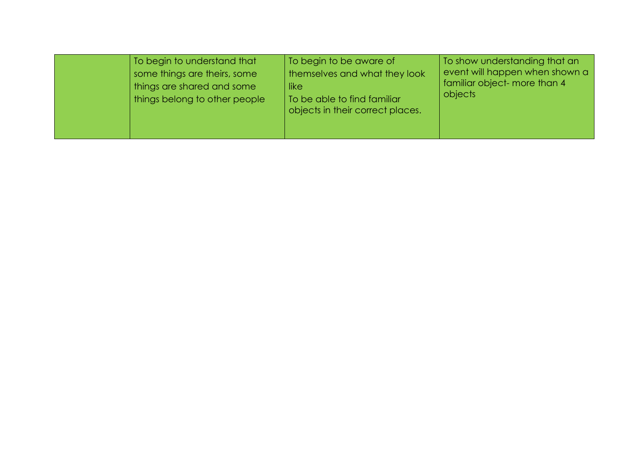| To begin to understand that<br>some things are theirs, some<br>things are shared and some<br>things belong to other people | To begin to be aware of<br>themselves and what they look<br>like<br>To be able to find familiar<br>objects in their correct places. | To show understanding that an<br>event will happen when shown a<br>familiar object- more than 4<br>objects |
|----------------------------------------------------------------------------------------------------------------------------|-------------------------------------------------------------------------------------------------------------------------------------|------------------------------------------------------------------------------------------------------------|
|----------------------------------------------------------------------------------------------------------------------------|-------------------------------------------------------------------------------------------------------------------------------------|------------------------------------------------------------------------------------------------------------|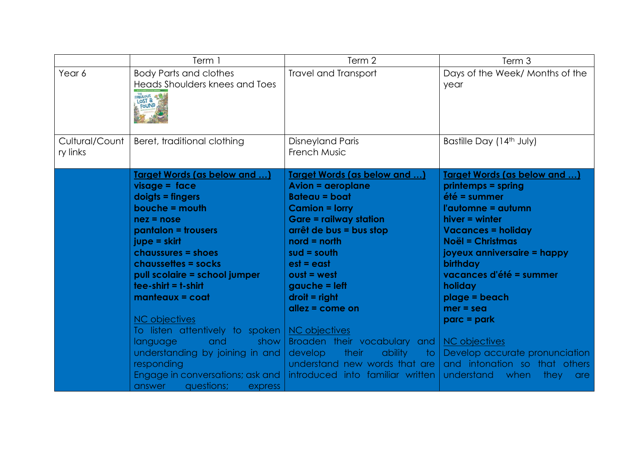|                            | Term 1                                                                                                                                                                                                                                                                                                                                                                                                                                                                                 | Term 2                                                                                                                                                                                                                                                                                                                                                                                                                                                                                                                   | Term 3                                                                                                                                                                                                                                                                                                                                                                                                   |
|----------------------------|----------------------------------------------------------------------------------------------------------------------------------------------------------------------------------------------------------------------------------------------------------------------------------------------------------------------------------------------------------------------------------------------------------------------------------------------------------------------------------------|--------------------------------------------------------------------------------------------------------------------------------------------------------------------------------------------------------------------------------------------------------------------------------------------------------------------------------------------------------------------------------------------------------------------------------------------------------------------------------------------------------------------------|----------------------------------------------------------------------------------------------------------------------------------------------------------------------------------------------------------------------------------------------------------------------------------------------------------------------------------------------------------------------------------------------------------|
| Year 6                     | <b>Body Parts and clothes</b><br><b>Heads Shoulders knees and Toes</b><br>FREULOUS AND                                                                                                                                                                                                                                                                                                                                                                                                 | <b>Travel and Transport</b>                                                                                                                                                                                                                                                                                                                                                                                                                                                                                              | Days of the Week/ Months of the<br>year                                                                                                                                                                                                                                                                                                                                                                  |
| Cultural/Count<br>ry links | Beret, traditional clothing                                                                                                                                                                                                                                                                                                                                                                                                                                                            | Disneyland Paris<br>French Music                                                                                                                                                                                                                                                                                                                                                                                                                                                                                         | Bastille Day (14th July)                                                                                                                                                                                                                                                                                                                                                                                 |
|                            | Target Words (as below and )<br>$visage = face$<br>$d$ oigts = fingers<br>bouche = mouth<br>$nez = nose$<br>pantalon = trousers<br>$jupe = skirt$<br>$chavssures = shoes$<br>chaussettes = socks<br>pull scolaire = school jumper<br>$tee$ -shirt = $t$ -shirt<br>$m$ anteaux = coat<br><b>NC</b> objectives<br>To listen attentively to spoken   NC objectives<br>and<br>show $\vert$<br>language<br>understanding by joining in and<br>responding<br>questions;<br>answer<br>express | Target Words (as below and )<br><b>Avion = aeroplane</b><br><b>Bateau = boat</b><br><b>Camion = lorry</b><br><b>Gare = railway station</b><br>arrêt de bus = bus stop<br>$nord = north$<br>$sud = south$<br>$est = east$<br>$oust = west$<br>$gauge = left$<br>$d$ roit = right<br>allez = come on<br>Broaden their vocabulary and   NC objectives<br>ability<br>develop<br>their<br>$\overline{\phantom{a}}$ to<br>understand new words that are<br>Engage in conversations; ask and   introduced into familiar written | Target Words (as below and )<br>printemps = spring<br>$ét = summer$<br>l'automne = autumn<br>hiver $=$ winter<br><b>Vacances = holiday</b><br>Noël = Christmas<br>joyeux anniversaire = happy<br>birthday<br>vacances d'été = summer<br>holiday<br>plage = beach<br>$mer = sea$<br>$parc = park$<br>Develop accurate pronunciation<br>and intonation so that others<br>understand<br>when<br>they<br>are |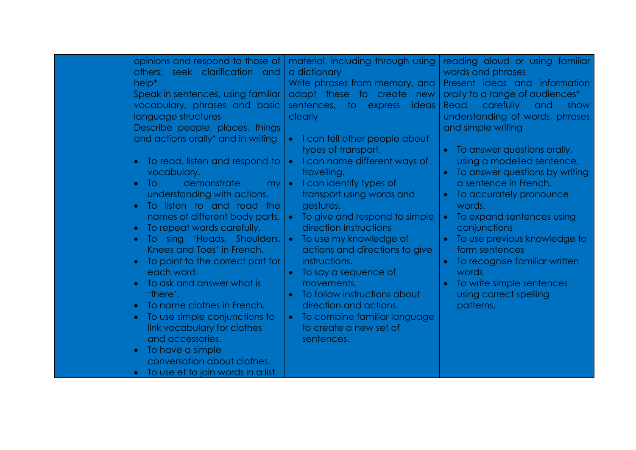| opinions and respond to those of<br>others; seek clarification and<br>help*<br>Speak in sentences, using familiar<br>vocabulary, phrases and basic<br>language structures<br>Describe people, places, things<br>and actions orally* and in writing<br>To read, listen and respond to<br>$\bullet$<br>vocabulary.<br>demonstrate<br>To:<br>my<br>$\bullet$<br>understanding with actions.<br>To listen to and read the<br>names of different body parts.<br>To repeat words carefully.<br>To sing 'Heads, Shoulders,<br>$\bullet$<br>Knees and Toes' in French.<br>To point to the correct part for<br>$\bullet$<br>each word<br>To ask and answer what is<br>'there'.<br>To name clothes in French.<br>To use simple conjunctions to<br>$\bullet$<br>link vocabulary for clothes<br>and accessories.<br>To have a simple<br>$\bullet$<br>conversation about clothes. | material, including through using<br>a dictionary<br>Write phrases from memory, and<br>adapt these to create new<br>sentences, to express<br>ideas l<br>clearly<br>I can tell other people about<br>$\bullet$<br>types of transport.<br>I can name different ways of<br>$\bullet$<br>travelling.<br>I can identify types of<br>$\bullet$<br>transport using words and<br>gestures.<br>To give and respond to simple<br>$\bullet$<br>direction instructions<br>To use my knowledge of<br>$\bullet$<br>actions and directions to give<br>instructions.<br>To say a sequence of<br>$\bullet$<br>movements.<br>To follow instructions about<br>$\bullet$<br>direction and actions.<br>To combine familiar language<br>$\bullet$<br>to create a new set of<br>sentences. | reading aloud or using familiar<br>words and phrases<br>Present ideas and information<br>orally to a range of audiences*<br>Read<br>carefully and<br>show<br>understanding of words, phrases<br>and simple writing<br>To answer questions orally,<br>$\bullet$ .<br>using a modelled sentence.<br>To answer questions by writing<br>a sentence in French.<br>• To accurately pronounce<br>words.<br>To expand sentences using<br>conjunctions<br>To use previous knowledge to<br>form sentences<br>To recognise familiar written<br>words<br>To write simple sentences<br>using correct spelling<br>patterns, |
|----------------------------------------------------------------------------------------------------------------------------------------------------------------------------------------------------------------------------------------------------------------------------------------------------------------------------------------------------------------------------------------------------------------------------------------------------------------------------------------------------------------------------------------------------------------------------------------------------------------------------------------------------------------------------------------------------------------------------------------------------------------------------------------------------------------------------------------------------------------------|---------------------------------------------------------------------------------------------------------------------------------------------------------------------------------------------------------------------------------------------------------------------------------------------------------------------------------------------------------------------------------------------------------------------------------------------------------------------------------------------------------------------------------------------------------------------------------------------------------------------------------------------------------------------------------------------------------------------------------------------------------------------|---------------------------------------------------------------------------------------------------------------------------------------------------------------------------------------------------------------------------------------------------------------------------------------------------------------------------------------------------------------------------------------------------------------------------------------------------------------------------------------------------------------------------------------------------------------------------------------------------------------|
| • To use et to join words in a list.                                                                                                                                                                                                                                                                                                                                                                                                                                                                                                                                                                                                                                                                                                                                                                                                                                 |                                                                                                                                                                                                                                                                                                                                                                                                                                                                                                                                                                                                                                                                                                                                                                     |                                                                                                                                                                                                                                                                                                                                                                                                                                                                                                                                                                                                               |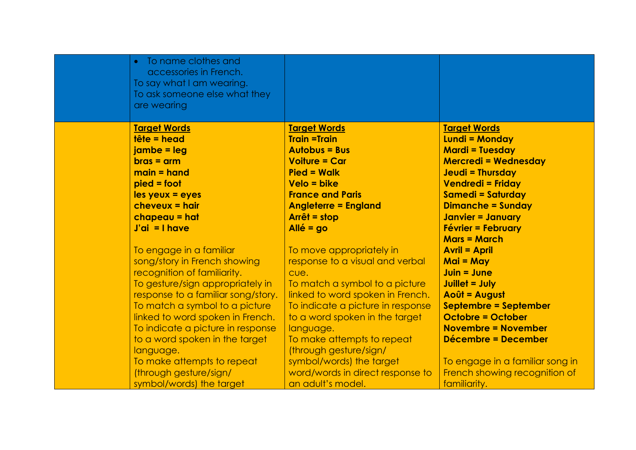| To name clothes and<br>$\bullet$<br>accessories in French.<br>To say what I am wearing.<br>To ask someone else what they<br>are wearing |                                 |                                   |                                 |
|-----------------------------------------------------------------------------------------------------------------------------------------|---------------------------------|-----------------------------------|---------------------------------|
| <b>Target Words</b>                                                                                                                     | <b>Target Words</b>             |                                   | <b>Target Words</b>             |
| $tête = head$                                                                                                                           | <b>Train =Train</b>             |                                   | Lundi = Monday                  |
| $jambe = leg$                                                                                                                           | <b>Autobus = Bus</b>            |                                   | <b>Mardi = Tuesday</b>          |
| $bras = arm$                                                                                                                            | <b>Voiture = Car</b>            |                                   | <b>Mercredi = Wednesday</b>     |
| $main = hand$                                                                                                                           | $Pied = Walk$                   |                                   | <b>Jeudi = Thursday</b>         |
| $pied = foot$                                                                                                                           | Velo = bike                     |                                   | <b>Vendredi = Friday</b>        |
| $les$ yeux = eyes                                                                                                                       | <b>France and Paris</b>         |                                   | <b>Samedi = Saturday</b>        |
| $cheveux = hair$                                                                                                                        | <b>Angleterre = England</b>     |                                   | <b>Dimanche = Sunday</b>        |
| $chapeau = hat$                                                                                                                         | <b>Arrêt = stop</b>             |                                   | <b>Janvier = January</b>        |
| $J'$ ai = $I$ have                                                                                                                      | Allé = go                       |                                   | <b>Février = February</b>       |
|                                                                                                                                         |                                 |                                   | <b>Mars = March</b>             |
| To engage in a familiar                                                                                                                 | To move appropriately in        |                                   | <b>Avril = April</b>            |
| song/story in French showing                                                                                                            | response to a visual and verbal |                                   | Mai = May                       |
| recognition of familiarity.                                                                                                             | cue.                            |                                   | $Juin = June$                   |
| To gesture/sign appropriately in                                                                                                        | To match a symbol to a picture  |                                   | Juillet = July                  |
| response to a familiar song/story.                                                                                                      |                                 | linked to word spoken in French.  | <b>Août = August</b>            |
| To match a symbol to a picture                                                                                                          |                                 | To indicate a picture in response | <b>Septembre = September</b>    |
| linked to word spoken in French.                                                                                                        | to a word spoken in the target  |                                   | <b>Octobre = October</b>        |
| To indicate a picture in response                                                                                                       | language.                       |                                   | <b>Novembre = November</b>      |
| to a word spoken in the target                                                                                                          | To make attempts to repeat      |                                   | Décembre = December             |
| language.                                                                                                                               | (through gesture/sign/          |                                   |                                 |
| To make attempts to repeat                                                                                                              | symbol/words) the target        |                                   | To engage in a familiar song in |
| (through gesture/sign/                                                                                                                  |                                 | word/words in direct response to  | French showing recognition of   |
| symbol/words) the target                                                                                                                | an adult's model.               |                                   | familiarity.                    |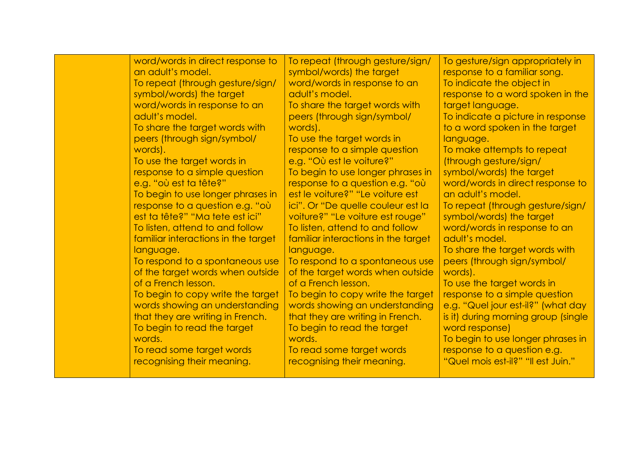| word/words in direct response to    | To repeat (through gesture/sign/    | To gesture/sign appropriately in    |
|-------------------------------------|-------------------------------------|-------------------------------------|
| an adult's model.                   | symbol/words) the target            | response to a familiar song.        |
| To repeat (through gesture/sign/    | word/words in response to an        | To indicate the object in           |
| symbol/words) the target            | adult's model.                      | response to a word spoken in the    |
| word/words in response to an        | To share the target words with      | target language.                    |
| adult's model.                      | peers (through sign/symbol/         | To indicate a picture in response   |
| To share the target words with      | words).                             | to a word spoken in the target      |
| peers (through sign/symbol/         | To use the target words in          | language.                           |
| words).                             | response to a simple question       | To make attempts to repeat          |
| To use the target words in          | e.g. "Où est le voiture?"           | (through gesture/sign/              |
| response to a simple question       | To begin to use longer phrases in   | symbol/words) the target            |
| e.g. "où est ta tête?"              | response to a question e.g. "où     | word/words in direct response to    |
| To begin to use longer phrases in   | est le voiture?" "Le voiture est    | an adult's model.                   |
| response to a question e.g. "où     | ici". Or "De quelle couleur est la  | To repeat (through gesture/sign/    |
| est ta tête?" "Ma tete est ici"     | voiture?" "Le voiture est rouge"    | symbol/words) the target            |
| To listen, attend to and follow     | To listen, attend to and follow     | word/words in response to an        |
| familiar interactions in the target | familiar interactions in the target | adult's model.                      |
| language.                           | language.                           | To share the target words with      |
| To respond to a spontaneous use     | To respond to a spontaneous use     | peers (through sign/symbol/         |
| of the target words when outside    | of the target words when outside    | words).                             |
| of a French lesson.                 | of a French lesson.                 | To use the target words in          |
| To begin to copy write the target   | To begin to copy write the target   | response to a simple question       |
| words showing an understanding      | words showing an understanding      | e.g. "Quel jour est-il?" (what day  |
| that they are writing in French.    | that they are writing in French.    | is it) during morning group (single |
| To begin to read the target         | To begin to read the target         | word response)                      |
| words.                              | words.                              | To begin to use longer phrases in   |
| To read some target words           | To read some target words           | response to a question e.g.         |
| recognising their meaning.          | recognising their meaning.          | "Quel mois est-il?" "Il est Juin."  |
|                                     |                                     |                                     |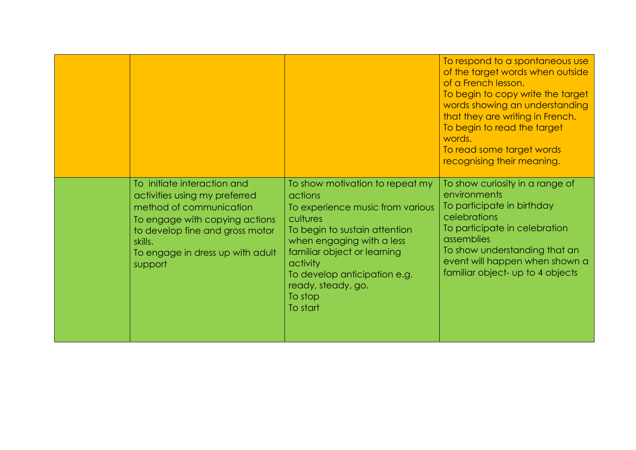|                                                                                                                                                                                                                        |                                                                                                                                                                                                                                                                                  | To respond to a spontaneous use<br>of the target words when outside<br>of a French lesson.<br>To begin to copy write the target<br>words showing an understanding<br>that they are writing in French.<br>To begin to read the target<br>words.<br>To read some target words<br>recognising their meaning. |
|------------------------------------------------------------------------------------------------------------------------------------------------------------------------------------------------------------------------|----------------------------------------------------------------------------------------------------------------------------------------------------------------------------------------------------------------------------------------------------------------------------------|-----------------------------------------------------------------------------------------------------------------------------------------------------------------------------------------------------------------------------------------------------------------------------------------------------------|
| To initiate interaction and<br>activities using my preferred<br>method of communication<br>To engage with copying actions<br>to develop fine and gross motor<br>skills.<br>To engage in dress up with adult<br>support | To show motivation to repeat my<br>actions<br>To experience music from various<br>cultures<br>To begin to sustain attention<br>when engaging with a less<br>familiar object or learning<br>activity<br>To develop anticipation e.g.<br>ready, steady, go.<br>To stop<br>To start | To show curiosity in a range of<br>environments<br>To participate in birthday<br>celebrations<br>To participate in celebration<br>assemblies<br>To show understanding that an<br>event will happen when shown a<br>familiar object- up to 4 objects                                                       |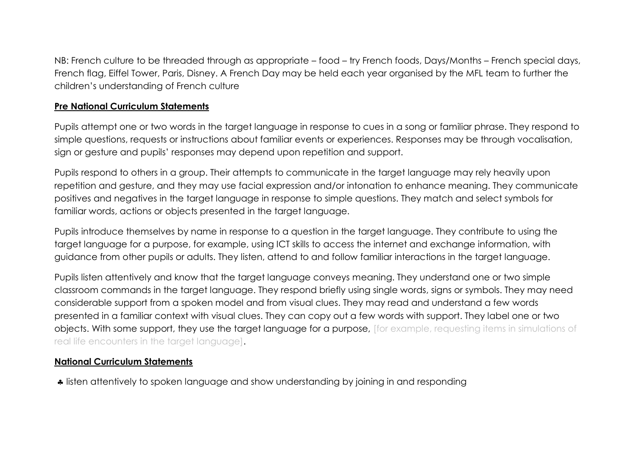NB: French culture to be threaded through as appropriate – food – try French foods, Days/Months – French special days, French flag, Eiffel Tower, Paris, Disney. A French Day may be held each year organised by the MFL team to further the children's understanding of French culture

## **Pre National Curriculum Statements**

Pupils attempt one or two words in the target language in response to cues in a song or familiar phrase. They respond to simple questions, requests or instructions about familiar events or experiences. Responses may be through vocalisation, sign or gesture and pupils' responses may depend upon repetition and support.

Pupils respond to others in a group. Their attempts to communicate in the target language may rely heavily upon repetition and gesture, and they may use facial expression and/or intonation to enhance meaning. They communicate positives and negatives in the target language in response to simple questions. They match and select symbols for familiar words, actions or objects presented in the target language.

Pupils introduce themselves by name in response to a question in the target language. They contribute to using the target language for a purpose, for example, using ICT skills to access the internet and exchange information, with guidance from other pupils or adults. They listen, attend to and follow familiar interactions in the target language.

Pupils listen attentively and know that the target language conveys meaning. They understand one or two simple classroom commands in the target language. They respond briefly using single words, signs or symbols. They may need considerable support from a spoken model and from visual clues. They may read and understand a few words presented in a familiar context with visual clues. They can copy out a few words with support. They label one or two objects. With some support, they use the target language for a purpose, [for example, requesting items in simulations of real life encounters in the target language].

## **National Curriculum Statements**

• listen attentively to spoken language and show understanding by joining in and responding